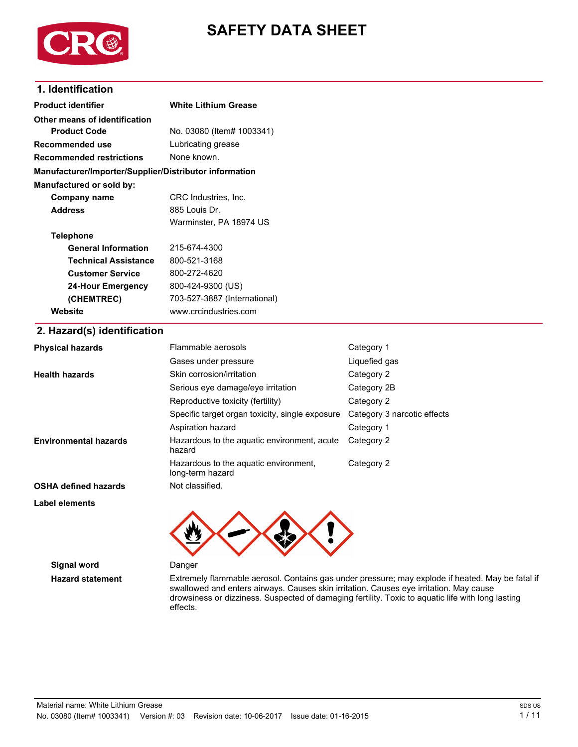

# **SAFETY DATA SHEET**

### **1. Identification**

| <b>Product identifier</b>                              | <b>White Lithium Grease</b>                                                            |                                                                                                  |  |
|--------------------------------------------------------|----------------------------------------------------------------------------------------|--------------------------------------------------------------------------------------------------|--|
| Other means of identification                          |                                                                                        |                                                                                                  |  |
| <b>Product Code</b>                                    | No. 03080 (Item# 1003341)                                                              |                                                                                                  |  |
| Recommended use                                        | Lubricating grease                                                                     |                                                                                                  |  |
| <b>Recommended restrictions</b>                        | None known.                                                                            |                                                                                                  |  |
| Manufacturer/Importer/Supplier/Distributor information |                                                                                        |                                                                                                  |  |
| Manufactured or sold by:                               |                                                                                        |                                                                                                  |  |
| <b>Company name</b>                                    | CRC Industries, Inc.                                                                   |                                                                                                  |  |
| <b>Address</b>                                         | 885 Louis Dr.                                                                          |                                                                                                  |  |
|                                                        | Warminster, PA 18974 US                                                                |                                                                                                  |  |
| <b>Telephone</b>                                       |                                                                                        |                                                                                                  |  |
| <b>General Information</b>                             | 215-674-4300                                                                           |                                                                                                  |  |
| <b>Technical Assistance</b>                            | 800-521-3168                                                                           |                                                                                                  |  |
| <b>Customer Service</b>                                | 800-272-4620                                                                           |                                                                                                  |  |
| <b>24-Hour Emergency</b>                               | 800-424-9300 (US)                                                                      |                                                                                                  |  |
| (CHEMTREC)                                             | 703-527-3887 (International)                                                           |                                                                                                  |  |
| Website                                                | www.crcindustries.com                                                                  |                                                                                                  |  |
| 2. Hazard(s) identification                            |                                                                                        |                                                                                                  |  |
| <b>Physical hazards</b>                                | Flammable aerosols                                                                     | Category 1                                                                                       |  |
|                                                        | Gases under pressure                                                                   | Liquefied gas                                                                                    |  |
| <b>Health hazards</b>                                  | Skin corrosion/irritation                                                              | Category 2                                                                                       |  |
|                                                        | Serious eye damage/eye irritation                                                      | Category 2B                                                                                      |  |
|                                                        | Reproductive toxicity (fertility)                                                      | Category 2                                                                                       |  |
|                                                        | Specific target organ toxicity, single exposure                                        | Category 3 narcotic effects                                                                      |  |
|                                                        | Aspiration hazard                                                                      | Category 1                                                                                       |  |
| Environmental hazards                                  | Hazardous to the aquatic environment, acute<br>hazard                                  | Category 2                                                                                       |  |
|                                                        | Hazardous to the aquatic environment,<br>long-term hazard                              | Category 2                                                                                       |  |
| <b>OSHA defined hazards</b>                            | Not classified.                                                                        |                                                                                                  |  |
| Label elements                                         |                                                                                        |                                                                                                  |  |
|                                                        |                                                                                        |                                                                                                  |  |
| <b>Signal word</b>                                     | Danger                                                                                 |                                                                                                  |  |
| <b>Hazard statement</b>                                | swallowed and enters airways. Causes skin irritation. Causes eye irritation. May cause | Extremely flammable aerosol. Contains gas under pressure; may explode if heated. May be fatal if |  |

drowsiness or dizziness. Suspected of damaging fertility. Toxic to aquatic life with long lasting

effects.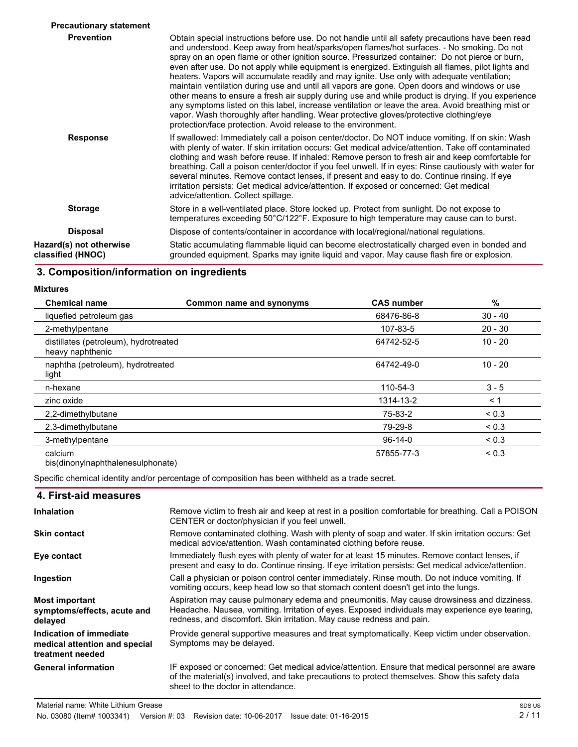| <b>Precautionary statement</b>               |                                                                                                                                                                                                                                                                                                                                                                                                                                                                                                                                                                                                                                                                                                                                                                                                                                                                                                                                                                             |
|----------------------------------------------|-----------------------------------------------------------------------------------------------------------------------------------------------------------------------------------------------------------------------------------------------------------------------------------------------------------------------------------------------------------------------------------------------------------------------------------------------------------------------------------------------------------------------------------------------------------------------------------------------------------------------------------------------------------------------------------------------------------------------------------------------------------------------------------------------------------------------------------------------------------------------------------------------------------------------------------------------------------------------------|
| <b>Prevention</b>                            | Obtain special instructions before use. Do not handle until all safety precautions have been read<br>and understood. Keep away from heat/sparks/open flames/hot surfaces. - No smoking. Do not<br>spray on an open flame or other ignition source. Pressurized container: Do not pierce or burn,<br>even after use. Do not apply while equipment is energized. Extinguish all flames, pilot lights and<br>heaters. Vapors will accumulate readily and may ignite. Use only with adequate ventilation;<br>maintain ventilation during use and until all vapors are gone. Open doors and windows or use<br>other means to ensure a fresh air supply during use and while product is drying. If you experience<br>any symptoms listed on this label, increase ventilation or leave the area. Avoid breathing mist or<br>vapor. Wash thoroughly after handling. Wear protective gloves/protective clothing/eye<br>protection/face protection. Avoid release to the environment. |
| <b>Response</b>                              | If swallowed: Immediately call a poison center/doctor. Do NOT induce vomiting. If on skin: Wash<br>with plenty of water. If skin irritation occurs: Get medical advice/attention. Take off contaminated<br>clothing and wash before reuse. If inhaled: Remove person to fresh air and keep comfortable for<br>breathing. Call a poison center/doctor if you feel unwell. If in eyes: Rinse cautiously with water for<br>several minutes. Remove contact lenses, if present and easy to do. Continue rinsing. If eye<br>irritation persists: Get medical advice/attention. If exposed or concerned: Get medical<br>advice/attention. Collect spillage.                                                                                                                                                                                                                                                                                                                       |
| <b>Storage</b>                               | Store in a well-ventilated place. Store locked up. Protect from sunlight. Do not expose to<br>temperatures exceeding 50°C/122°F. Exposure to high temperature may cause can to burst.                                                                                                                                                                                                                                                                                                                                                                                                                                                                                                                                                                                                                                                                                                                                                                                       |
| <b>Disposal</b>                              | Dispose of contents/container in accordance with local/regional/national regulations.                                                                                                                                                                                                                                                                                                                                                                                                                                                                                                                                                                                                                                                                                                                                                                                                                                                                                       |
| Hazard(s) not otherwise<br>classified (HNOC) | Static accumulating flammable liquid can become electrostatically charged even in bonded and<br>grounded equipment. Sparks may ignite liquid and vapor. May cause flash fire or explosion.                                                                                                                                                                                                                                                                                                                                                                                                                                                                                                                                                                                                                                                                                                                                                                                  |

# **3. Composition/information on ingredients**

**Mixtures**

| <b>Chemical name</b>                                      | Common name and synonyms | <b>CAS number</b> | %          |
|-----------------------------------------------------------|--------------------------|-------------------|------------|
| liquefied petroleum gas                                   |                          | 68476-86-8        | $30 - 40$  |
| 2-methylpentane                                           |                          | 107-83-5          | $20 - 30$  |
| distillates (petroleum), hydrotreated<br>heavy naphthenic |                          | 64742-52-5        | $10 - 20$  |
| naphtha (petroleum), hydrotreated<br>light                |                          | 64742-49-0        | $10 - 20$  |
| n-hexane                                                  |                          | 110-54-3          | $3 - 5$    |
| zinc oxide                                                |                          | 1314-13-2         | < 1        |
| 2,2-dimethylbutane                                        |                          | 75-83-2           | ${}_{0.3}$ |
| 2,3-dimethylbutane                                        |                          | 79-29-8           | < 0.3      |
| 3-methylpentane                                           |                          | $96-14-0$         | < 0.3      |
| calcium<br>bis(dinonylnaphthalenesulphonate)              |                          | 57855-77-3        | < 0.3      |

Specific chemical identity and/or percentage of composition has been withheld as a trade secret.

| 4. First-aid measures                                                        |                                                                                                                                                                                                                                                                       |
|------------------------------------------------------------------------------|-----------------------------------------------------------------------------------------------------------------------------------------------------------------------------------------------------------------------------------------------------------------------|
| <b>Inhalation</b>                                                            | Remove victim to fresh air and keep at rest in a position comfortable for breathing. Call a POISON<br>CENTER or doctor/physician if you feel unwell.                                                                                                                  |
| <b>Skin contact</b>                                                          | Remove contaminated clothing. Wash with plenty of soap and water. If skin irritation occurs: Get<br>medical advice/attention. Wash contaminated clothing before reuse.                                                                                                |
| Eye contact                                                                  | Immediately flush eyes with plenty of water for at least 15 minutes. Remove contact lenses, if<br>present and easy to do. Continue rinsing. If eye irritation persists: Get medical advice/attention.                                                                 |
| Ingestion                                                                    | Call a physician or poison control center immediately. Rinse mouth. Do not induce vomiting. If<br>vomiting occurs, keep head low so that stomach content doesn't get into the lungs.                                                                                  |
| <b>Most important</b><br>symptoms/effects, acute and<br>delayed              | Aspiration may cause pulmonary edema and pneumonitis. May cause drowsiness and dizziness.<br>Headache. Nausea, vomiting. Irritation of eyes. Exposed individuals may experience eye tearing,<br>redness, and discomfort. Skin irritation. May cause redness and pain. |
| Indication of immediate<br>medical attention and special<br>treatment needed | Provide general supportive measures and treat symptomatically. Keep victim under observation.<br>Symptoms may be delayed.                                                                                                                                             |
| <b>General information</b>                                                   | IF exposed or concerned: Get medical advice/attention. Ensure that medical personnel are aware<br>of the material(s) involved, and take precautions to protect themselves. Show this safety data<br>sheet to the doctor in attendance.                                |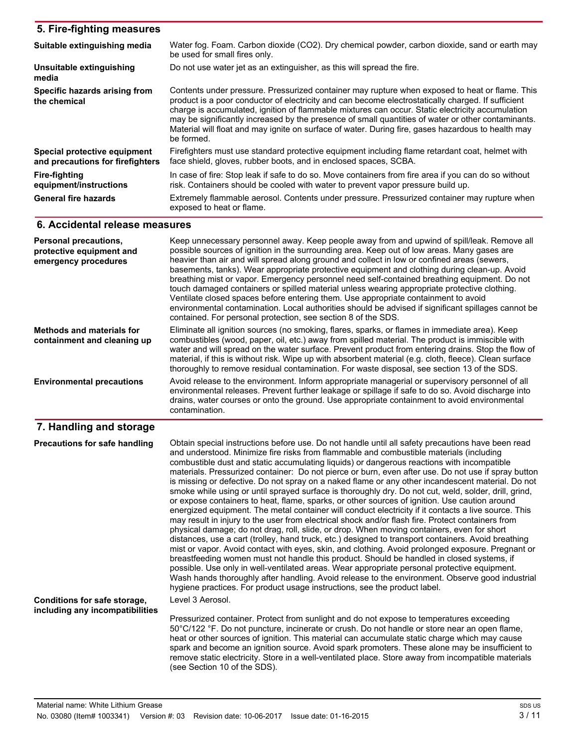| 5. Fire-fighting measures                                                 |                                                                                                                                                                                                                                                                                                                                                                                                                                                                                                                                                                                                                                                                                 |
|---------------------------------------------------------------------------|---------------------------------------------------------------------------------------------------------------------------------------------------------------------------------------------------------------------------------------------------------------------------------------------------------------------------------------------------------------------------------------------------------------------------------------------------------------------------------------------------------------------------------------------------------------------------------------------------------------------------------------------------------------------------------|
| Suitable extinguishing media                                              | Water fog. Foam. Carbon dioxide (CO2). Dry chemical powder, carbon dioxide, sand or earth may<br>be used for small fires only.                                                                                                                                                                                                                                                                                                                                                                                                                                                                                                                                                  |
| Unsuitable extinguishing<br>media                                         | Do not use water jet as an extinguisher, as this will spread the fire.                                                                                                                                                                                                                                                                                                                                                                                                                                                                                                                                                                                                          |
| Specific hazards arising from<br>the chemical                             | Contents under pressure. Pressurized container may rupture when exposed to heat or flame. This<br>product is a poor conductor of electricity and can become electrostatically charged. If sufficient<br>charge is accumulated, ignition of flammable mixtures can occur. Static electricity accumulation<br>may be significantly increased by the presence of small quantities of water or other contaminants.<br>Material will float and may ignite on surface of water. During fire, gases hazardous to health may<br>be formed.                                                                                                                                              |
| Special protective equipment<br>and precautions for firefighters          | Firefighters must use standard protective equipment including flame retardant coat, helmet with<br>face shield, gloves, rubber boots, and in enclosed spaces, SCBA.                                                                                                                                                                                                                                                                                                                                                                                                                                                                                                             |
| <b>Fire-fighting</b><br>equipment/instructions                            | In case of fire: Stop leak if safe to do so. Move containers from fire area if you can do so without<br>risk. Containers should be cooled with water to prevent vapor pressure build up.                                                                                                                                                                                                                                                                                                                                                                                                                                                                                        |
| <b>General fire hazards</b>                                               | Extremely flammable aerosol. Contents under pressure. Pressurized container may rupture when<br>exposed to heat or flame.                                                                                                                                                                                                                                                                                                                                                                                                                                                                                                                                                       |
| 6. Accidental release measures                                            |                                                                                                                                                                                                                                                                                                                                                                                                                                                                                                                                                                                                                                                                                 |
| Personal precautions,<br>protective equipment and<br>emergency procedures | Keep unnecessary personnel away. Keep people away from and upwind of spill/leak. Remove all<br>possible sources of ignition in the surrounding area. Keep out of low areas. Many gases are<br>heavier than air and will spread along ground and collect in low or confined areas (sewers,<br>basements, tanks). Wear appropriate protective equipment and clothing during clean-up. Avoid<br>breathing mist or vapor. Emergency personnel need self-contained breathing equipment. Do not<br>touch damaged containers or spilled material unless wearing appropriate protective clothing.<br>Ventilate closed spaces before entering them. Use appropriate containment to avoid |

contained. For personal protection, see section 8 of the SDS.

#### **7. Handling and storage**

**Methods and materials for containment and cleaning up**

**Environmental precautions**

Obtain special instructions before use. Do not handle until all safety precautions have been read and understood. Minimize fire risks from flammable and combustible materials (including combustible dust and static accumulating liquids) or dangerous reactions with incompatible materials. Pressurized container: Do not pierce or burn, even after use. Do not use if spray button is missing or defective. Do not spray on a naked flame or any other incandescent material. Do not smoke while using or until sprayed surface is thoroughly dry. Do not cut, weld, solder, drill, grind, or expose containers to heat, flame, sparks, or other sources of ignition. Use caution around energized equipment. The metal container will conduct electricity if it contacts a live source. This may result in injury to the user from electrical shock and/or flash fire. Protect containers from physical damage; do not drag, roll, slide, or drop. When moving containers, even for short distances, use a cart (trolley, hand truck, etc.) designed to transport containers. Avoid breathing mist or vapor. Avoid contact with eyes, skin, and clothing. Avoid prolonged exposure. Pregnant or breastfeeding women must not handle this product. Should be handled in closed systems, if possible. Use only in well-ventilated areas. Wear appropriate personal protective equipment. Wash hands thoroughly after handling. Avoid release to the environment. Observe good industrial hygiene practices. For product usage instructions, see the product label. **Precautions for safe handling** Level 3 Aerosol. Pressurized container. Protect from sunlight and do not expose to temperatures exceeding 50°C/122 °F. Do not puncture, incinerate or crush. Do not handle or store near an open flame, **Conditions for safe storage, including any incompatibilities**

heat or other sources of ignition. This material can accumulate static charge which may cause spark and become an ignition source. Avoid spark promoters. These alone may be insufficient to remove static electricity. Store in a well-ventilated place. Store away from incompatible materials (see Section 10 of the SDS).

environmental contamination. Local authorities should be advised if significant spillages cannot be

Eliminate all ignition sources (no smoking, flares, sparks, or flames in immediate area). Keep combustibles (wood, paper, oil, etc.) away from spilled material. The product is immiscible with water and will spread on the water surface. Prevent product from entering drains. Stop the flow of material, if this is without risk. Wipe up with absorbent material (e.g. cloth, fleece). Clean surface thoroughly to remove residual contamination. For waste disposal, see section 13 of the SDS.

Avoid release to the environment. Inform appropriate managerial or supervisory personnel of all environmental releases. Prevent further leakage or spillage if safe to do so. Avoid discharge into drains, water courses or onto the ground. Use appropriate containment to avoid environmental

contamination.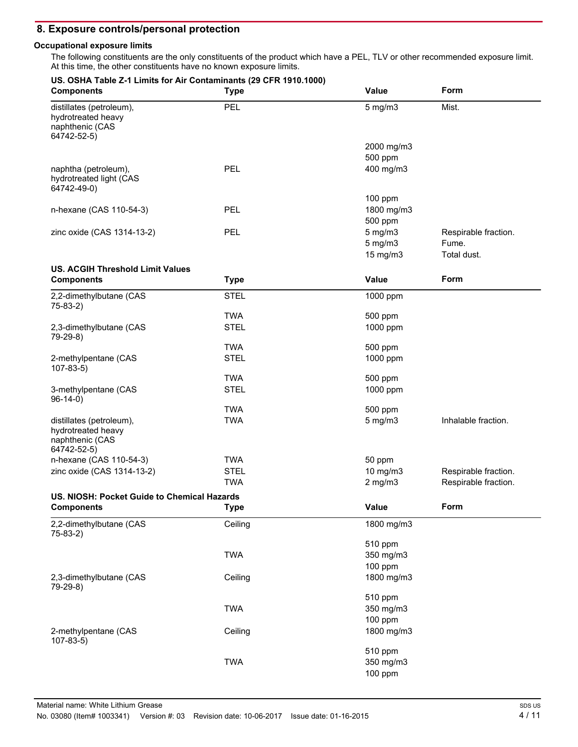### **8. Exposure controls/personal protection**

#### **Occupational exposure limits**

The following constituents are the only constituents of the product which have a PEL, TLV or other recommended exposure limit. At this time, the other constituents have no known exposure limits.

| US. OSHA Table Z-1 Limits for Air Contaminants (29 CFR 1910.1000)<br><b>Components</b> | <b>Type</b> | Value                                    | Form                                         |
|----------------------------------------------------------------------------------------|-------------|------------------------------------------|----------------------------------------------|
| distillates (petroleum),<br>hydrotreated heavy<br>naphthenic (CAS<br>64742-52-5)       | PEL         | $5$ mg/m $3$                             | Mist.                                        |
|                                                                                        |             | 2000 mg/m3<br>500 ppm                    |                                              |
| naphtha (petroleum),<br>hydrotreated light (CAS<br>64742-49-0)                         | PEL         | 400 mg/m3                                |                                              |
|                                                                                        |             | 100 ppm                                  |                                              |
| n-hexane (CAS 110-54-3)                                                                | <b>PEL</b>  | 1800 mg/m3<br>500 ppm                    |                                              |
| zinc oxide (CAS 1314-13-2)                                                             | <b>PEL</b>  | $5$ mg/m $3$<br>$5$ mg/m $3$<br>15 mg/m3 | Respirable fraction.<br>Fume.<br>Total dust. |
| <b>US. ACGIH Threshold Limit Values</b>                                                |             |                                          |                                              |
| <b>Components</b>                                                                      | <b>Type</b> | Value                                    | Form                                         |
| 2,2-dimethylbutane (CAS<br>$75-83-2)$                                                  | <b>STEL</b> | 1000 ppm                                 |                                              |
|                                                                                        | <b>TWA</b>  | 500 ppm                                  |                                              |
| 2,3-dimethylbutane (CAS<br>79-29-8)                                                    | <b>STEL</b> | 1000 ppm                                 |                                              |
|                                                                                        | <b>TWA</b>  | 500 ppm                                  |                                              |
| 2-methylpentane (CAS<br>$107-83-5$                                                     | <b>STEL</b> | 1000 ppm                                 |                                              |
|                                                                                        | <b>TWA</b>  | 500 ppm                                  |                                              |
| 3-methylpentane (CAS<br>$96-14-0)$                                                     | <b>STEL</b> | 1000 ppm                                 |                                              |
|                                                                                        | <b>TWA</b>  | 500 ppm                                  |                                              |
| distillates (petroleum),<br>hydrotreated heavy<br>naphthenic (CAS<br>64742-52-5)       | <b>TWA</b>  | $5$ mg/m $3$                             | Inhalable fraction.                          |
| n-hexane (CAS 110-54-3)                                                                | <b>TWA</b>  | 50 ppm                                   |                                              |
| zinc oxide (CAS 1314-13-2)                                                             | <b>STEL</b> | 10 mg/m3                                 | Respirable fraction.                         |
|                                                                                        | <b>TWA</b>  | $2$ mg/m $3$                             | Respirable fraction.                         |
| US. NIOSH: Pocket Guide to Chemical Hazards                                            |             |                                          |                                              |
| <b>Components</b>                                                                      | <b>Type</b> | Value                                    | Form                                         |
| 2,2-dimethylbutane (CAS<br>$75-83-2)$                                                  | Ceiling     | 1800 mg/m3                               |                                              |
|                                                                                        |             | 510 ppm                                  |                                              |
|                                                                                        | <b>TWA</b>  | 350 mg/m3                                |                                              |
| 2,3-dimethylbutane (CAS                                                                | Ceiling     | 100 ppm<br>1800 mg/m3                    |                                              |
| 79-29-8)                                                                               |             | 510 ppm                                  |                                              |
|                                                                                        | <b>TWA</b>  | 350 mg/m3                                |                                              |
|                                                                                        |             | 100 ppm                                  |                                              |
| 2-methylpentane (CAS                                                                   | Ceiling     | 1800 mg/m3                               |                                              |
| $107 - 83 - 5$                                                                         |             | 510 ppm                                  |                                              |
|                                                                                        | <b>TWA</b>  | 350 mg/m3                                |                                              |
|                                                                                        |             | 100 ppm                                  |                                              |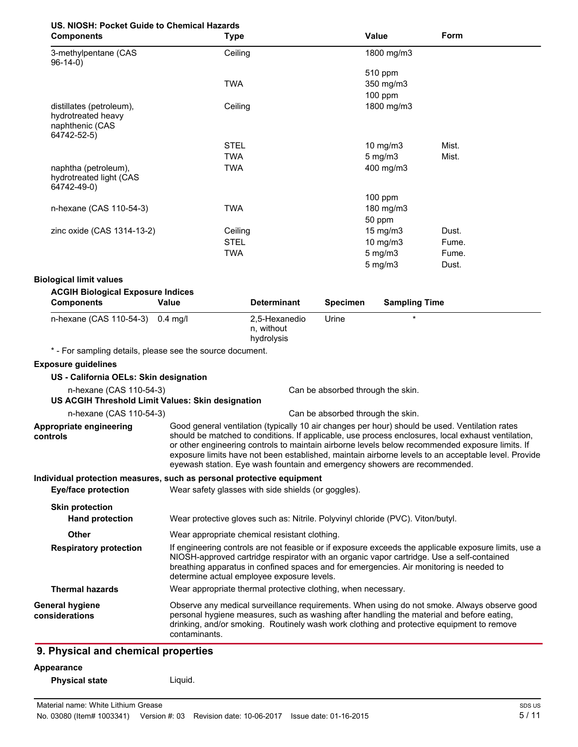# **US. NIOSH: Pocket Guide to Chemical Hazards**

| <b>Components</b>                                              | <b>Type</b> | Value            | Form  |
|----------------------------------------------------------------|-------------|------------------|-------|
| 3-methylpentane (CAS<br>$96-14-0$                              | Ceiling     | 1800 mg/m3       |       |
|                                                                |             | 510 ppm          |       |
|                                                                | <b>TWA</b>  | 350 mg/m3        |       |
|                                                                |             | $100$ ppm        |       |
| distillates (petroleum),<br>hydrotreated heavy                 | Ceiling     | 1800 mg/m3       |       |
| naphthenic (CAS                                                |             |                  |       |
| 64742-52-5)                                                    |             |                  |       |
|                                                                | <b>STEL</b> | 10 $mg/m3$       | Mist. |
|                                                                | <b>TWA</b>  | $5 \text{ mg/m}$ | Mist. |
| naphtha (petroleum),<br>hydrotreated light (CAS<br>64742-49-0) | TWA         | 400 mg/m3        |       |
|                                                                |             | $100$ ppm        |       |
| n-hexane (CAS 110-54-3)                                        | <b>TWA</b>  | 180 mg/m3        |       |
|                                                                |             | 50 ppm           |       |
| zinc oxide (CAS 1314-13-2)                                     | Ceiling     | 15 mg/m $3$      | Dust. |
|                                                                | <b>STEL</b> | 10 mg/m $3$      | Fume. |
|                                                                | <b>TWA</b>  | $5$ mg/m $3$     | Fume. |
|                                                                |             | $5$ mg/m $3$     | Dust. |

#### **Biological limit values**

| <b>ACGIH Biological Exposure Indices</b>                                     |                                                               |                                           |                                   |                                                                                                                                                                                                                                                                                                                                                                                                                                                                                             |
|------------------------------------------------------------------------------|---------------------------------------------------------------|-------------------------------------------|-----------------------------------|---------------------------------------------------------------------------------------------------------------------------------------------------------------------------------------------------------------------------------------------------------------------------------------------------------------------------------------------------------------------------------------------------------------------------------------------------------------------------------------------|
| <b>Components</b>                                                            | Value                                                         | <b>Determinant</b>                        | <b>Specimen</b>                   | <b>Sampling Time</b>                                                                                                                                                                                                                                                                                                                                                                                                                                                                        |
| n-hexane (CAS 110-54-3)                                                      | $0.4$ mg/l                                                    | 2,5-Hexanedio<br>n, without<br>hydrolysis | Urine                             | $\star$                                                                                                                                                                                                                                                                                                                                                                                                                                                                                     |
| * - For sampling details, please see the source document.                    |                                                               |                                           |                                   |                                                                                                                                                                                                                                                                                                                                                                                                                                                                                             |
| <b>Exposure guidelines</b>                                                   |                                                               |                                           |                                   |                                                                                                                                                                                                                                                                                                                                                                                                                                                                                             |
| US - California OELs: Skin designation                                       |                                                               |                                           |                                   |                                                                                                                                                                                                                                                                                                                                                                                                                                                                                             |
| n-hexane (CAS 110-54-3)<br>US ACGIH Threshold Limit Values: Skin designation |                                                               |                                           | Can be absorbed through the skin. |                                                                                                                                                                                                                                                                                                                                                                                                                                                                                             |
| n-hexane (CAS 110-54-3)                                                      |                                                               |                                           | Can be absorbed through the skin. |                                                                                                                                                                                                                                                                                                                                                                                                                                                                                             |
| Appropriate engineering<br>controls                                          |                                                               |                                           |                                   | Good general ventilation (typically 10 air changes per hour) should be used. Ventilation rates<br>should be matched to conditions. If applicable, use process enclosures, local exhaust ventilation,<br>or other engineering controls to maintain airborne levels below recommended exposure limits. If<br>exposure limits have not been established, maintain airborne levels to an acceptable level. Provide<br>eyewash station. Eye wash fountain and emergency showers are recommended. |
| Individual protection measures, such as personal protective equipment        |                                                               |                                           |                                   |                                                                                                                                                                                                                                                                                                                                                                                                                                                                                             |
| <b>Eye/face protection</b>                                                   | Wear safety glasses with side shields (or goggles).           |                                           |                                   |                                                                                                                                                                                                                                                                                                                                                                                                                                                                                             |
| <b>Skin protection</b>                                                       |                                                               |                                           |                                   |                                                                                                                                                                                                                                                                                                                                                                                                                                                                                             |
| <b>Hand protection</b>                                                       |                                                               |                                           |                                   | Wear protective gloves such as: Nitrile. Polyvinyl chloride (PVC). Viton/butyl.                                                                                                                                                                                                                                                                                                                                                                                                             |
| Other                                                                        | Wear appropriate chemical resistant clothing.                 |                                           |                                   |                                                                                                                                                                                                                                                                                                                                                                                                                                                                                             |
| <b>Respiratory protection</b>                                                | determine actual employee exposure levels.                    |                                           |                                   | If engineering controls are not feasible or if exposure exceeds the applicable exposure limits, use a<br>NIOSH-approved cartridge respirator with an organic vapor cartridge. Use a self-contained<br>breathing apparatus in confined spaces and for emergencies. Air monitoring is needed to                                                                                                                                                                                               |
| <b>Thermal hazards</b>                                                       | Wear appropriate thermal protective clothing, when necessary. |                                           |                                   |                                                                                                                                                                                                                                                                                                                                                                                                                                                                                             |
| General hygiene<br>considerations                                            | contaminants.                                                 |                                           |                                   | Observe any medical surveillance requirements. When using do not smoke. Always observe good<br>personal hygiene measures, such as washing after handling the material and before eating,<br>drinking, and/or smoking. Routinely wash work clothing and protective equipment to remove                                                                                                                                                                                                       |

# **9. Physical and chemical properties**

#### **Appearance**

| <b>Physical state</b> | Liquid. |
|-----------------------|---------|
|-----------------------|---------|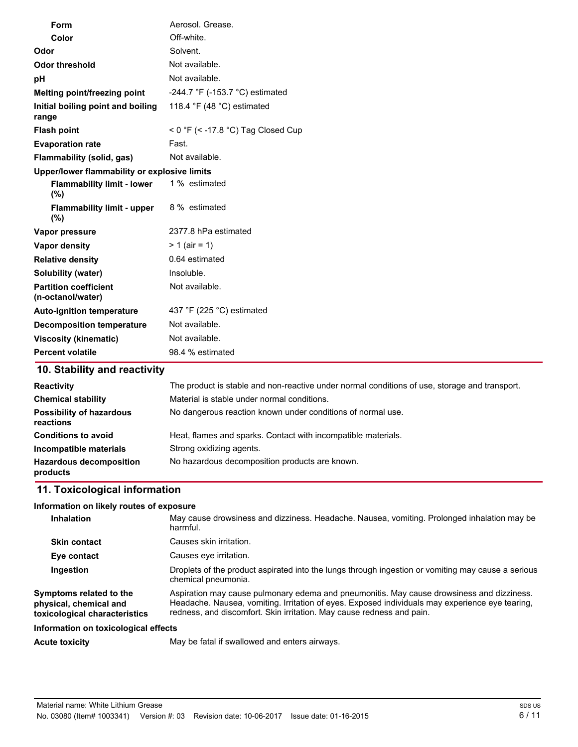| Form                                              | Aerosol. Grease.                                                       |
|---------------------------------------------------|------------------------------------------------------------------------|
| Color                                             | Off-white.                                                             |
| Odor                                              | Solvent.                                                               |
| <b>Odor threshold</b>                             | Not available.                                                         |
| рH                                                | Not available.                                                         |
| Melting point/freezing point                      | -244.7 °F (-153.7 °C) estimated                                        |
| Initial boiling point and boiling<br>range        | 118.4 $\degree$ F (48 $\degree$ C) estimated                           |
| <b>Flash point</b>                                | < $0 \text{ }^{\circ}$ F (< -17.8 $\text{ }^{\circ}$ C) Tag Closed Cup |
| <b>Evaporation rate</b>                           | Fast.                                                                  |
| Flammability (solid, gas)                         | Not available.                                                         |
| Upper/lower flammability or explosive limits      |                                                                        |
| <b>Flammability limit - lower</b><br>(%)          | 1 % estimated                                                          |
| <b>Flammability limit - upper</b><br>(%)          | 8 % estimated                                                          |
| Vapor pressure                                    | 2377.8 hPa estimated                                                   |
| Vapor density                                     | $> 1$ (air = 1)                                                        |
| <b>Relative density</b>                           | 0.64 estimated                                                         |
| <b>Solubility (water)</b>                         | Insoluble.                                                             |
| <b>Partition coefficient</b><br>(n-octanol/water) | Not available.                                                         |
| <b>Auto-ignition temperature</b>                  | 437 °F (225 °C) estimated                                              |
| <b>Decomposition temperature</b>                  | Not available.                                                         |
| <b>Viscosity (kinematic)</b>                      | Not available.                                                         |
| <b>Percent volatile</b>                           | 98.4 % estimated                                                       |

# **10. Stability and reactivity**

| <b>Reactivity</b>                            | The product is stable and non-reactive under normal conditions of use, storage and transport. |
|----------------------------------------------|-----------------------------------------------------------------------------------------------|
| <b>Chemical stability</b>                    | Material is stable under normal conditions.                                                   |
| <b>Possibility of hazardous</b><br>reactions | No dangerous reaction known under conditions of normal use.                                   |
| <b>Conditions to avoid</b>                   | Heat, flames and sparks. Contact with incompatible materials.                                 |
| Incompatible materials                       | Strong oxidizing agents.                                                                      |
| <b>Hazardous decomposition</b><br>products   | No hazardous decomposition products are known.                                                |

# **11. Toxicological information**

#### **Information on likely routes of exposure**

| <b>Inhalation</b>                                                                  | May cause drowsiness and dizziness. Headache. Nausea, vomiting. Prolonged inhalation may be<br>harmful.                                                                                                                                                               |
|------------------------------------------------------------------------------------|-----------------------------------------------------------------------------------------------------------------------------------------------------------------------------------------------------------------------------------------------------------------------|
| <b>Skin contact</b>                                                                | Causes skin irritation.                                                                                                                                                                                                                                               |
| Eye contact                                                                        | Causes eye irritation.                                                                                                                                                                                                                                                |
| Ingestion                                                                          | Droplets of the product aspirated into the lungs through ingestion or vomiting may cause a serious<br>chemical pneumonia.                                                                                                                                             |
| Symptoms related to the<br>physical, chemical and<br>toxicological characteristics | Aspiration may cause pulmonary edema and pneumonitis. May cause drowsiness and dizziness.<br>Headache. Nausea, vomiting. Irritation of eyes. Exposed individuals may experience eye tearing,<br>redness, and discomfort. Skin irritation. May cause redness and pain. |
| Information on toxicological effects                                               |                                                                                                                                                                                                                                                                       |
| <b>Acute toxicity</b>                                                              | May be fatal if swallowed and enters airways.                                                                                                                                                                                                                         |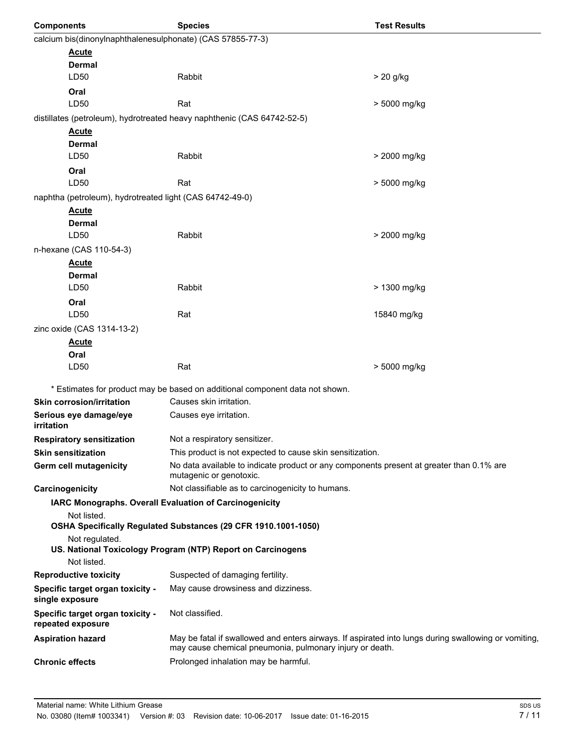| <b>Components</b>                                          | <b>Species</b>                                                                                                                                                   | <b>Test Results</b> |
|------------------------------------------------------------|------------------------------------------------------------------------------------------------------------------------------------------------------------------|---------------------|
| calcium bis(dinonylnaphthalenesulphonate) (CAS 57855-77-3) |                                                                                                                                                                  |                     |
| <b>Acute</b>                                               |                                                                                                                                                                  |                     |
| Dermal                                                     |                                                                                                                                                                  |                     |
| LD50                                                       | Rabbit                                                                                                                                                           | > 20 g/kg           |
| Oral                                                       |                                                                                                                                                                  |                     |
| LD50                                                       | Rat                                                                                                                                                              | > 5000 mg/kg        |
|                                                            | distillates (petroleum), hydrotreated heavy naphthenic (CAS 64742-52-5)                                                                                          |                     |
| <u>Acute</u>                                               |                                                                                                                                                                  |                     |
| Dermal                                                     | Rabbit                                                                                                                                                           |                     |
| LD50                                                       |                                                                                                                                                                  | > 2000 mg/kg        |
| Oral<br>LD50                                               | Rat                                                                                                                                                              |                     |
|                                                            |                                                                                                                                                                  | > 5000 mg/kg        |
| naphtha (petroleum), hydrotreated light (CAS 64742-49-0)   |                                                                                                                                                                  |                     |
| <u>Acute</u><br>Dermal                                     |                                                                                                                                                                  |                     |
| LD50                                                       | Rabbit                                                                                                                                                           | > 2000 mg/kg        |
| n-hexane (CAS 110-54-3)                                    |                                                                                                                                                                  |                     |
| <b>Acute</b>                                               |                                                                                                                                                                  |                     |
| Dermal                                                     |                                                                                                                                                                  |                     |
| LD50                                                       | Rabbit                                                                                                                                                           | > 1300 mg/kg        |
| Oral                                                       |                                                                                                                                                                  |                     |
| LD50                                                       | Rat                                                                                                                                                              | 15840 mg/kg         |
| zinc oxide (CAS 1314-13-2)                                 |                                                                                                                                                                  |                     |
| <u>Acute</u>                                               |                                                                                                                                                                  |                     |
| Oral                                                       |                                                                                                                                                                  |                     |
| LD50                                                       | Rat                                                                                                                                                              | > 5000 mg/kg        |
|                                                            | * Estimates for product may be based on additional component data not shown.                                                                                     |                     |
| <b>Skin corrosion/irritation</b>                           | Causes skin irritation.                                                                                                                                          |                     |
| Serious eye damage/eye<br>irritation                       | Causes eye irritation.                                                                                                                                           |                     |
| <b>Respiratory sensitization</b>                           | Not a respiratory sensitizer.                                                                                                                                    |                     |
| <b>Skin sensitization</b>                                  | This product is not expected to cause skin sensitization.                                                                                                        |                     |
| Germ cell mutagenicity                                     | No data available to indicate product or any components present at greater than 0.1% are<br>mutagenic or genotoxic.                                              |                     |
| Carcinogenicity                                            | Not classifiable as to carcinogenicity to humans.                                                                                                                |                     |
| IARC Monographs. Overall Evaluation of Carcinogenicity     |                                                                                                                                                                  |                     |
| Not listed.                                                | OSHA Specifically Regulated Substances (29 CFR 1910.1001-1050)                                                                                                   |                     |
| Not regulated.                                             |                                                                                                                                                                  |                     |
| Not listed.                                                | US. National Toxicology Program (NTP) Report on Carcinogens                                                                                                      |                     |
| <b>Reproductive toxicity</b>                               | Suspected of damaging fertility.                                                                                                                                 |                     |
| Specific target organ toxicity -                           | May cause drowsiness and dizziness.                                                                                                                              |                     |
| single exposure                                            |                                                                                                                                                                  |                     |
| Specific target organ toxicity -<br>repeated exposure      | Not classified.                                                                                                                                                  |                     |
| <b>Aspiration hazard</b>                                   | May be fatal if swallowed and enters airways. If aspirated into lungs during swallowing or vomiting,<br>may cause chemical pneumonia, pulmonary injury or death. |                     |
| <b>Chronic effects</b>                                     | Prolonged inhalation may be harmful.                                                                                                                             |                     |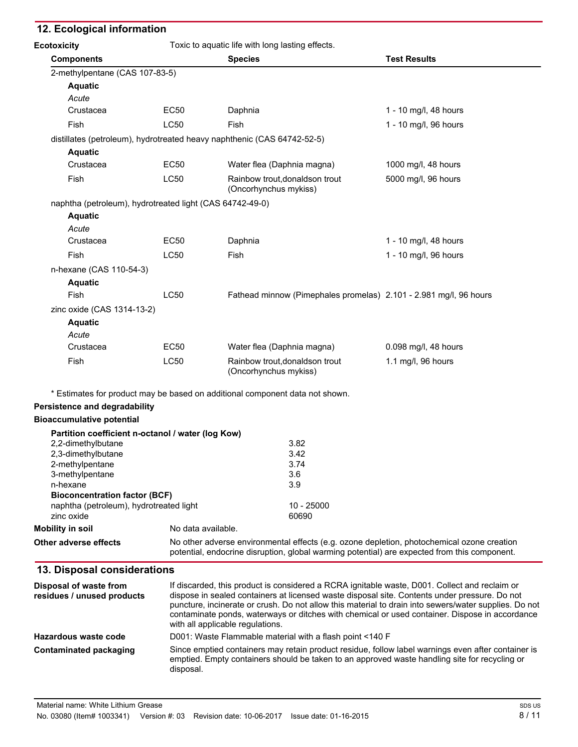### **12. Ecological information**

| <b>Ecotoxicity</b>                                       |             | Toxic to aquatic life with long lasting effects.                             |                       |
|----------------------------------------------------------|-------------|------------------------------------------------------------------------------|-----------------------|
| <b>Components</b>                                        |             | <b>Species</b>                                                               | <b>Test Results</b>   |
| 2-methylpentane (CAS 107-83-5)                           |             |                                                                              |                       |
| <b>Aquatic</b>                                           |             |                                                                              |                       |
| Acute                                                    |             |                                                                              |                       |
| Crustacea                                                | <b>EC50</b> | Daphnia                                                                      | 1 - 10 mg/l, 48 hours |
| Fish                                                     | <b>LC50</b> | Fish                                                                         | 1 - 10 mg/l, 96 hours |
|                                                          |             | distillates (petroleum), hydrotreated heavy naphthenic (CAS 64742-52-5)      |                       |
| <b>Aquatic</b>                                           |             |                                                                              |                       |
| Crustacea                                                | EC50        | Water flea (Daphnia magna)                                                   | 1000 mg/l, 48 hours   |
| Fish                                                     | <b>LC50</b> | Rainbow trout, donaldson trout<br>(Oncorhynchus mykiss)                      | 5000 mg/l, 96 hours   |
| naphtha (petroleum), hydrotreated light (CAS 64742-49-0) |             |                                                                              |                       |
| <b>Aquatic</b>                                           |             |                                                                              |                       |
| Acute                                                    |             |                                                                              |                       |
| Crustacea                                                | EC50        | Daphnia                                                                      | 1 - 10 mg/l, 48 hours |
| Fish                                                     | <b>LC50</b> | Fish                                                                         | 1 - 10 mg/l, 96 hours |
| n-hexane (CAS 110-54-3)                                  |             |                                                                              |                       |
| <b>Aquatic</b>                                           |             |                                                                              |                       |
| Fish                                                     | <b>LC50</b> | Fathead minnow (Pimephales promelas) 2.101 - 2.981 mg/l, 96 hours            |                       |
| zinc oxide (CAS 1314-13-2)                               |             |                                                                              |                       |
| <b>Aquatic</b>                                           |             |                                                                              |                       |
| Acute                                                    |             |                                                                              |                       |
| Crustacea                                                | <b>EC50</b> | Water flea (Daphnia magna)                                                   | 0.098 mg/l, 48 hours  |
| Fish                                                     | <b>LC50</b> | Rainbow trout, donaldson trout<br>(Oncorhynchus mykiss)                      | 1.1 mg/l, 96 hours    |
|                                                          |             | * Estimates for product may be based on additional component data not shown. |                       |
| <b>Persistence and degradability</b>                     |             |                                                                              |                       |
| <b>Bioaccumulative potential</b>                         |             |                                                                              |                       |
| Partition coefficient n-octanol / water (log Kow)        |             |                                                                              |                       |
| 2,2-dimethylbutane                                       |             | 3.82                                                                         |                       |
| 2,3-dimethylbutane                                       |             | 3.42                                                                         |                       |
| 2-methylpentane                                          |             | 3.74                                                                         |                       |
| 3-methylpentane                                          |             | 3.6                                                                          |                       |
| n-hexane                                                 |             | 3.9                                                                          |                       |
| <b>Bioconcentration factor (BCF)</b>                     |             |                                                                              |                       |
| naphtha (petroleum), hydrotreated light                  |             | 10 - 25000<br>60690                                                          |                       |
| zinc oxide                                               |             |                                                                              |                       |

**Mobility in soil** No data available.

**Other adverse effects** No other adverse environmental effects (e.g. ozone depletion, photochemical ozone creation potential, endocrine disruption, global warming potential) are expected from this component.

#### **13. Disposal considerations**

| Disposal of waste from<br>residues / unused products | If discarded, this product is considered a RCRA ignitable waste, D001. Collect and reclaim or<br>dispose in sealed containers at licensed waste disposal site. Contents under pressure. Do not<br>puncture, incinerate or crush. Do not allow this material to drain into sewers/water supplies. Do not<br>contaminate ponds, waterways or ditches with chemical or used container. Dispose in accordance<br>with all applicable regulations. |
|------------------------------------------------------|-----------------------------------------------------------------------------------------------------------------------------------------------------------------------------------------------------------------------------------------------------------------------------------------------------------------------------------------------------------------------------------------------------------------------------------------------|
| Hazardous waste code                                 | D001: Waste Flammable material with a flash point <140 F                                                                                                                                                                                                                                                                                                                                                                                      |
| Contaminated packaging                               | Since emptied containers may retain product residue, follow label warnings even after container is<br>emptied. Empty containers should be taken to an approved waste handling site for recycling or<br>disposal.                                                                                                                                                                                                                              |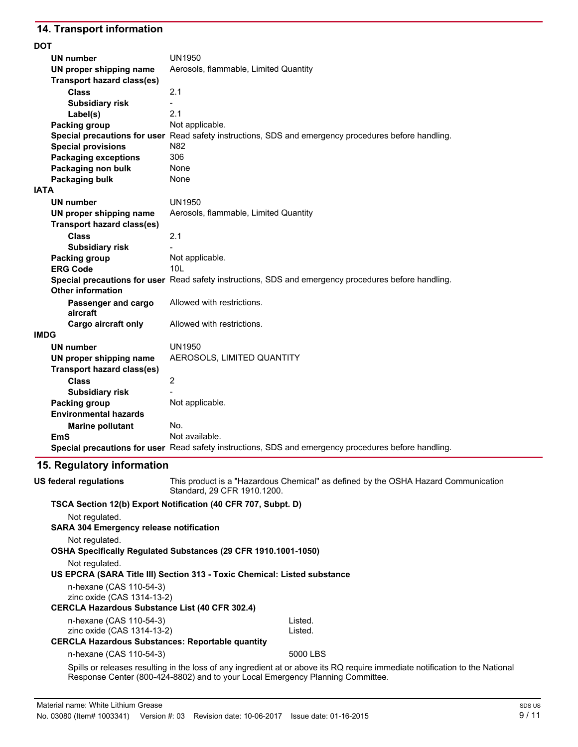# **14. Transport information**

| <b>DOT</b>                        |                                                                                                      |
|-----------------------------------|------------------------------------------------------------------------------------------------------|
| <b>UN number</b>                  | UN1950                                                                                               |
| UN proper shipping name           | Aerosols, flammable, Limited Quantity                                                                |
| <b>Transport hazard class(es)</b> |                                                                                                      |
| <b>Class</b>                      | 2.1                                                                                                  |
| <b>Subsidiary risk</b>            |                                                                                                      |
| Label(s)                          | 2.1                                                                                                  |
| Packing group                     | Not applicable.                                                                                      |
|                                   | Special precautions for user Read safety instructions, SDS and emergency procedures before handling. |
| <b>Special provisions</b>         | N82                                                                                                  |
| <b>Packaging exceptions</b>       | 306                                                                                                  |
| Packaging non bulk                | None                                                                                                 |
| Packaging bulk                    | None                                                                                                 |
| <b>IATA</b>                       |                                                                                                      |
| <b>UN number</b>                  | <b>UN1950</b>                                                                                        |
| UN proper shipping name           | Aerosols, flammable, Limited Quantity                                                                |
| <b>Transport hazard class(es)</b> |                                                                                                      |
| <b>Class</b>                      | 2.1                                                                                                  |
| <b>Subsidiary risk</b>            |                                                                                                      |
| Packing group                     | Not applicable.                                                                                      |
| <b>ERG Code</b>                   | 10 <sub>L</sub>                                                                                      |
|                                   | Special precautions for user Read safety instructions, SDS and emergency procedures before handling. |
| <b>Other information</b>          |                                                                                                      |
| Passenger and cargo               | Allowed with restrictions.                                                                           |
| aircraft                          |                                                                                                      |
| <b>Cargo aircraft only</b>        | Allowed with restrictions.                                                                           |
| <b>IMDG</b>                       |                                                                                                      |
| <b>UN number</b>                  | <b>UN1950</b>                                                                                        |
| UN proper shipping name           | AEROSOLS, LIMITED QUANTITY                                                                           |
| <b>Transport hazard class(es)</b> |                                                                                                      |
| <b>Class</b>                      | $\overline{2}$                                                                                       |
| <b>Subsidiary risk</b>            |                                                                                                      |
| Packing group                     | Not applicable.                                                                                      |
| <b>Environmental hazards</b>      |                                                                                                      |
| <b>Marine pollutant</b>           | No.                                                                                                  |
| EmS                               | Not available.                                                                                       |
|                                   | Special precautions for user Read safety instructions, SDS and emergency procedures before handling. |

# **15. Regulatory information**

| US federal regulations                         | This product is a "Hazardous Chemical" as defined by the OSHA Hazard Communication<br>Standard, 29 CFR 1910, 1200.           |
|------------------------------------------------|------------------------------------------------------------------------------------------------------------------------------|
|                                                | TSCA Section 12(b) Export Notification (40 CFR 707, Subpt. D)                                                                |
| Not regulated.                                 |                                                                                                                              |
| <b>SARA 304 Emergency release notification</b> |                                                                                                                              |
| Not regulated.                                 |                                                                                                                              |
|                                                | OSHA Specifically Regulated Substances (29 CFR 1910.1001-1050)                                                               |
| Not regulated.                                 |                                                                                                                              |
|                                                | US EPCRA (SARA Title III) Section 313 - Toxic Chemical: Listed substance                                                     |
| n-hexane (CAS 110-54-3)                        |                                                                                                                              |
| zinc oxide (CAS 1314-13-2)                     |                                                                                                                              |
|                                                | <b>CERCLA Hazardous Substance List (40 CFR 302.4)</b>                                                                        |
| n-hexane (CAS 110-54-3)                        | Listed.                                                                                                                      |
| zinc oxide (CAS 1314-13-2)                     | Listed.                                                                                                                      |
|                                                | <b>CERCLA Hazardous Substances: Reportable quantity</b>                                                                      |
| n-hexane (CAS 110-54-3)                        | 5000 LBS                                                                                                                     |
|                                                | Spills or releases resulting in the loss of any ingredient at or above its RQ require immediate notification to the National |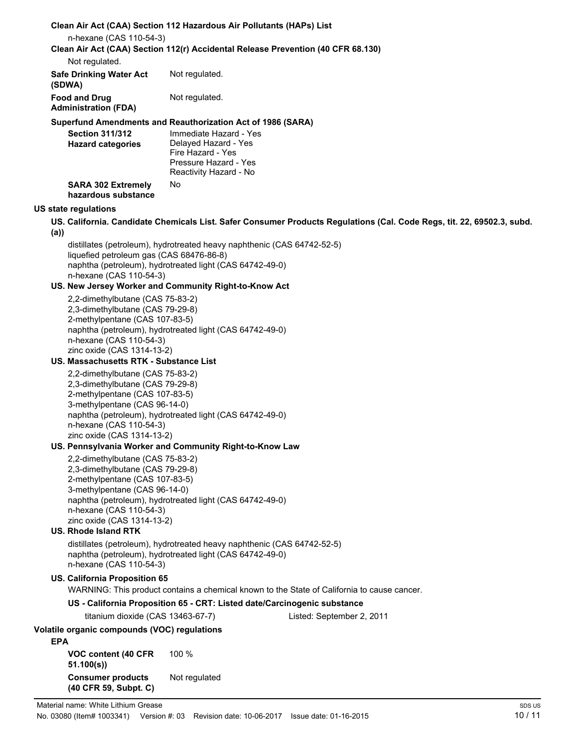|            | n-hexane (CAS 110-54-3)                                                                                                                                                                          | Clean Air Act (CAA) Section 112 Hazardous Air Pollutants (HAPs) List                                                                |                                                                                                                        |
|------------|--------------------------------------------------------------------------------------------------------------------------------------------------------------------------------------------------|-------------------------------------------------------------------------------------------------------------------------------------|------------------------------------------------------------------------------------------------------------------------|
|            | Not regulated.                                                                                                                                                                                   | Clean Air Act (CAA) Section 112(r) Accidental Release Prevention (40 CFR 68.130)                                                    |                                                                                                                        |
|            | <b>Safe Drinking Water Act</b><br>(SDWA)                                                                                                                                                         | Not regulated.                                                                                                                      |                                                                                                                        |
|            | <b>Food and Drug</b><br><b>Administration (FDA)</b>                                                                                                                                              | Not regulated.                                                                                                                      |                                                                                                                        |
|            |                                                                                                                                                                                                  | Superfund Amendments and Reauthorization Act of 1986 (SARA)                                                                         |                                                                                                                        |
|            | <b>Section 311/312</b><br><b>Hazard categories</b>                                                                                                                                               | Immediate Hazard - Yes<br>Delayed Hazard - Yes<br>Fire Hazard - Yes<br>Pressure Hazard - Yes<br>Reactivity Hazard - No              |                                                                                                                        |
|            | <b>SARA 302 Extremely</b><br>hazardous substance                                                                                                                                                 | No.                                                                                                                                 |                                                                                                                        |
|            | <b>US state regulations</b>                                                                                                                                                                      |                                                                                                                                     |                                                                                                                        |
| (a)        |                                                                                                                                                                                                  |                                                                                                                                     | US. California. Candidate Chemicals List. Safer Consumer Products Regulations (Cal. Code Regs, tit. 22, 69502.3, subd. |
|            | liquefied petroleum gas (CAS 68476-86-8)<br>n-hexane (CAS 110-54-3)                                                                                                                              | distillates (petroleum), hydrotreated heavy naphthenic (CAS 64742-52-5)<br>naphtha (petroleum), hydrotreated light (CAS 64742-49-0) |                                                                                                                        |
|            |                                                                                                                                                                                                  | US. New Jersey Worker and Community Right-to-Know Act                                                                               |                                                                                                                        |
|            | 2,2-dimethylbutane (CAS 75-83-2)<br>2,3-dimethylbutane (CAS 79-29-8)<br>2-methylpentane (CAS 107-83-5)<br>n-hexane (CAS 110-54-3)<br>zinc oxide (CAS 1314-13-2)                                  | naphtha (petroleum), hydrotreated light (CAS 64742-49-0)                                                                            |                                                                                                                        |
|            | US. Massachusetts RTK - Substance List                                                                                                                                                           |                                                                                                                                     |                                                                                                                        |
|            | 2,2-dimethylbutane (CAS 75-83-2)<br>2,3-dimethylbutane (CAS 79-29-8)<br>2-methylpentane (CAS 107-83-5)<br>3-methylpentane (CAS 96-14-0)<br>n-hexane (CAS 110-54-3)<br>zinc oxide (CAS 1314-13-2) | naphtha (petroleum), hydrotreated light (CAS 64742-49-0)                                                                            |                                                                                                                        |
|            |                                                                                                                                                                                                  | US. Pennsylvania Worker and Community Right-to-Know Law                                                                             |                                                                                                                        |
|            | 2,2-dimethylbutane (CAS 75-83-2)<br>2,3-dimethylbutane (CAS 79-29-8)<br>2-methylpentane (CAS 107-83-5)<br>3-methylpentane (CAS 96-14-0)<br>n-hexane (CAS 110-54-3)<br>zinc oxide (CAS 1314-13-2) | naphtha (petroleum), hydrotreated light (CAS 64742-49-0)                                                                            |                                                                                                                        |
|            | <b>US. Rhode Island RTK</b>                                                                                                                                                                      |                                                                                                                                     |                                                                                                                        |
|            | n-hexane (CAS 110-54-3)                                                                                                                                                                          | distillates (petroleum), hydrotreated heavy naphthenic (CAS 64742-52-5)<br>naphtha (petroleum), hydrotreated light (CAS 64742-49-0) |                                                                                                                        |
|            | US. California Proposition 65                                                                                                                                                                    |                                                                                                                                     | WARNING: This product contains a chemical known to the State of California to cause cancer.                            |
|            |                                                                                                                                                                                                  | US - California Proposition 65 - CRT: Listed date/Carcinogenic substance                                                            |                                                                                                                        |
|            | titanium dioxide (CAS 13463-67-7)                                                                                                                                                                |                                                                                                                                     | Listed: September 2, 2011                                                                                              |
| <b>EPA</b> | Volatile organic compounds (VOC) regulations                                                                                                                                                     |                                                                                                                                     |                                                                                                                        |
|            | VOC content (40 CFR<br>51.100(s)                                                                                                                                                                 | 100 %                                                                                                                               |                                                                                                                        |
|            | <b>Consumer products</b><br>(40 CFR 59, Subpt. C)                                                                                                                                                | Not regulated                                                                                                                       |                                                                                                                        |